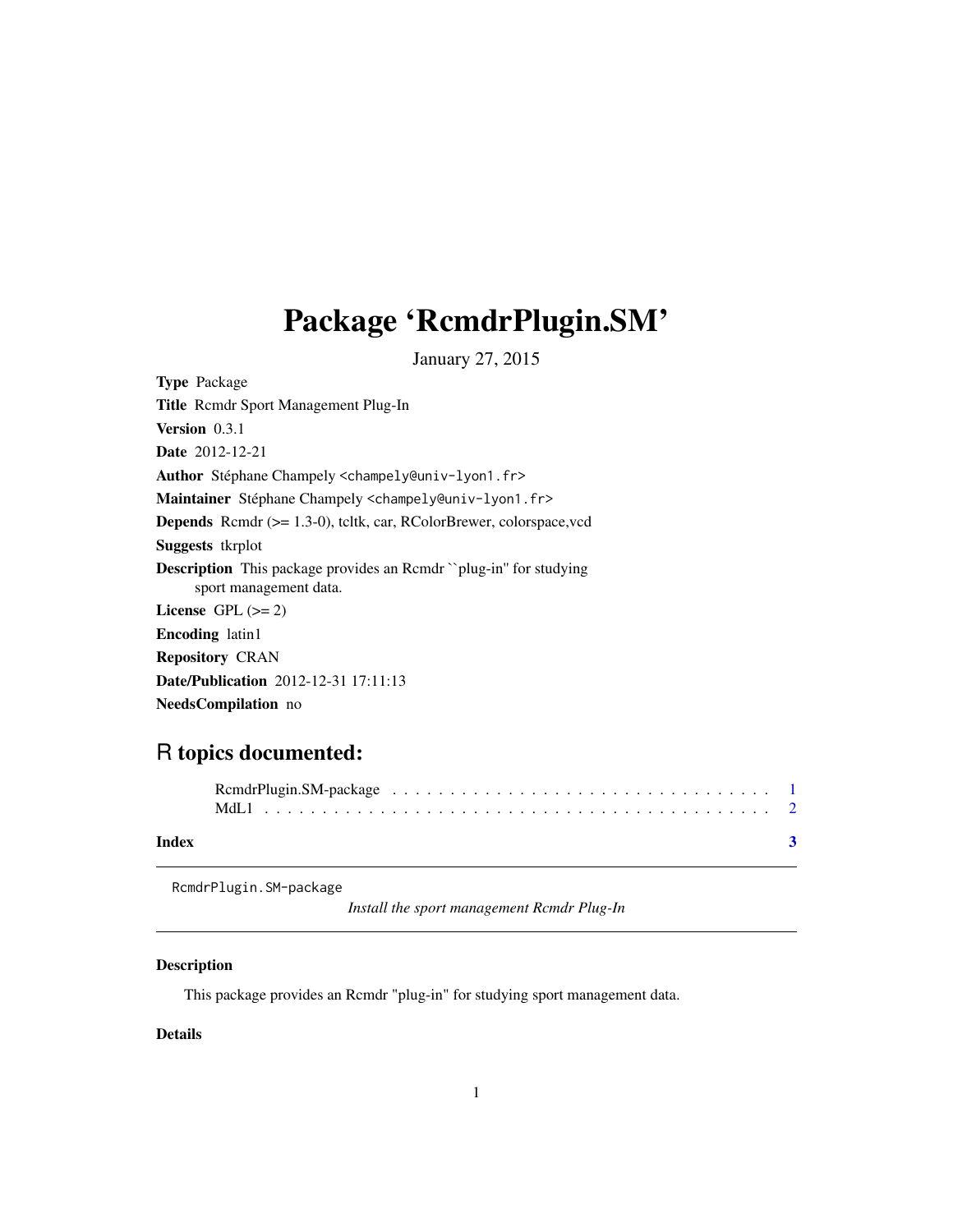# <span id="page-0-0"></span>Package 'RcmdrPlugin.SM'

January 27, 2015

<span id="page-0-1"></span>Type Package Title Rcmdr Sport Management Plug-In Version 0.3.1 Date 2012-12-21 Author Stéphane Champely <champely@univ-lyon1.fr> Maintainer Stéphane Champely <champely@univ-lyon1.fr> Depends Rcmdr (>= 1.3-0), tcltk, car, RColorBrewer, colorspace,vcd Suggests tkrplot Description This package provides an Rcmdr ``plug-in'' for studying sport management data. License GPL  $(>= 2)$ Encoding latin1 Repository CRAN Date/Publication 2012-12-31 17:11:13 NeedsCompilation no

## R topics documented:

| Index |  |  |  |  |  |  |  |  |  |  |  |  |  |  |  |  |  |
|-------|--|--|--|--|--|--|--|--|--|--|--|--|--|--|--|--|--|

RcmdrPlugin.SM-package

*Install the sport management Rcmdr Plug-In*

#### Description

This package provides an Rcmdr "plug-in" for studying sport management data.

### Details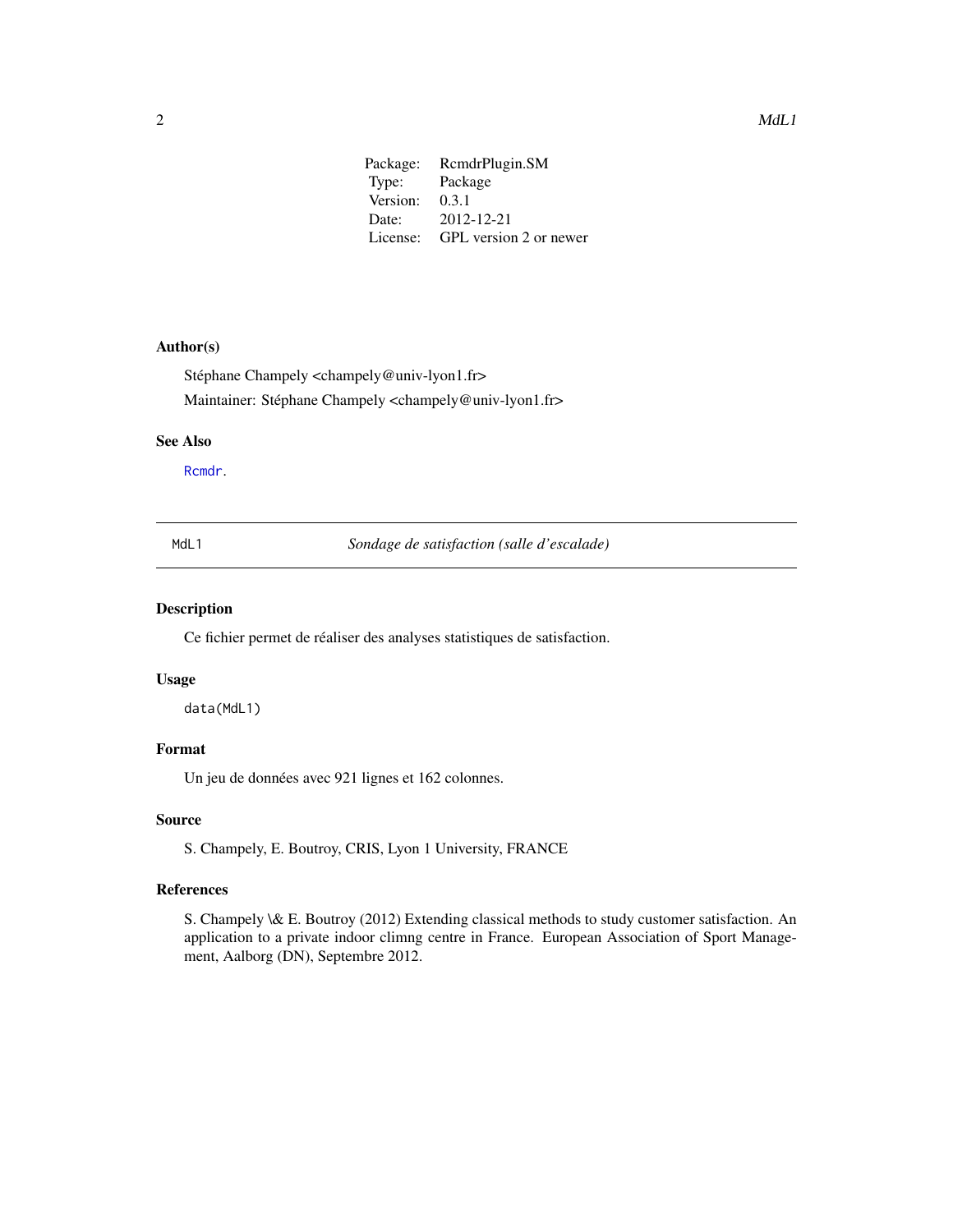<span id="page-1-0"></span>

| Package: | RcmdrPlugin.SM         |
|----------|------------------------|
| Type:    | Package                |
| Version: | 0.3.1                  |
| Date:    | 2012-12-21             |
| License: | GPL version 2 or newer |
|          |                        |

#### Author(s)

Stéphane Champely <champely@univ-lyon1.fr> Maintainer: Stéphane Champely <champely@univ-lyon1.fr>

#### See Also

[Rcmdr](#page-0-1).

MdL1 *Sondage de satisfaction (salle d'escalade)*

#### Description

Ce fichier permet de réaliser des analyses statistiques de satisfaction.

#### Usage

data(MdL1)

#### Format

Un jeu de données avec 921 lignes et 162 colonnes.

#### Source

S. Champely, E. Boutroy, CRIS, Lyon 1 University, FRANCE

#### References

S. Champely \& E. Boutroy (2012) Extending classical methods to study customer satisfaction. An application to a private indoor climng centre in France. European Association of Sport Management, Aalborg (DN), Septembre 2012.